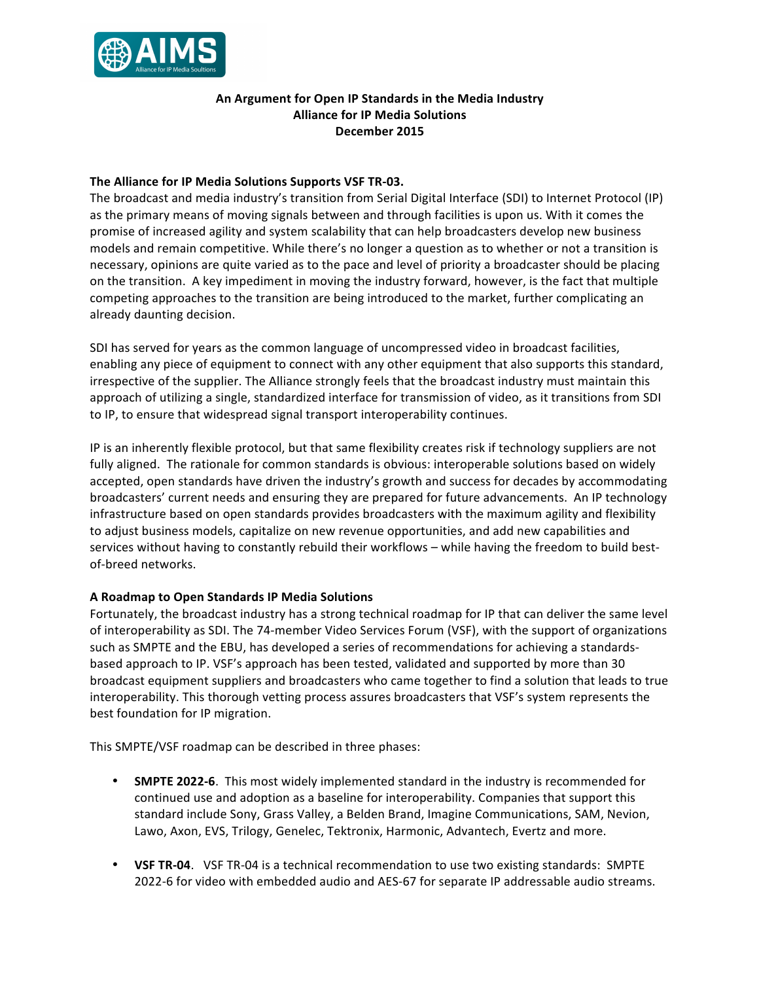

# **An Argument for Open IP Standards in the Media Industry Alliance for IP Media Solutions December 2015**

## **The Alliance for IP Media Solutions Supports VSF TR-03.**

The broadcast and media industry's transition from Serial Digital Interface (SDI) to Internet Protocol (IP) as the primary means of moving signals between and through facilities is upon us. With it comes the promise of increased agility and system scalability that can help broadcasters develop new business models and remain competitive. While there's no longer a question as to whether or not a transition is necessary, opinions are quite varied as to the pace and level of priority a broadcaster should be placing on the transition. A key impediment in moving the industry forward, however, is the fact that multiple competing approaches to the transition are being introduced to the market, further complicating an already daunting decision.

SDI has served for years as the common language of uncompressed video in broadcast facilities, enabling any piece of equipment to connect with any other equipment that also supports this standard, irrespective of the supplier. The Alliance strongly feels that the broadcast industry must maintain this approach of utilizing a single, standardized interface for transmission of video, as it transitions from SDI to IP, to ensure that widespread signal transport interoperability continues.

IP is an inherently flexible protocol, but that same flexibility creates risk if technology suppliers are not fully aligned. The rationale for common standards is obvious: interoperable solutions based on widely accepted, open standards have driven the industry's growth and success for decades by accommodating broadcasters' current needs and ensuring they are prepared for future advancements. An IP technology infrastructure based on open standards provides broadcasters with the maximum agility and flexibility to adjust business models, capitalize on new revenue opportunities, and add new capabilities and services without having to constantly rebuild their workflows - while having the freedom to build bestof-breed networks.

### **A Roadmap to Open Standards IP Media Solutions**

Fortunately, the broadcast industry has a strong technical roadmap for IP that can deliver the same level of interoperability as SDI. The 74-member Video Services Forum (VSF), with the support of organizations such as SMPTE and the EBU, has developed a series of recommendations for achieving a standardsbased approach to IP. VSF's approach has been tested, validated and supported by more than 30 broadcast equipment suppliers and broadcasters who came together to find a solution that leads to true interoperability. This thorough vetting process assures broadcasters that VSF's system represents the best foundation for IP migration.

This SMPTE/VSF roadmap can be described in three phases:

- **SMPTE 2022-6**. This most widely implemented standard in the industry is recommended for continued use and adoption as a baseline for interoperability. Companies that support this standard include Sony, Grass Valley, a Belden Brand, Imagine Communications, SAM, Nevion, Lawo, Axon, EVS, Trilogy, Genelec, Tektronix, Harmonic, Advantech, Evertz and more.
- VSF TR-04. VSF TR-04 is a technical recommendation to use two existing standards: SMPTE 2022-6 for video with embedded audio and AES-67 for separate IP addressable audio streams.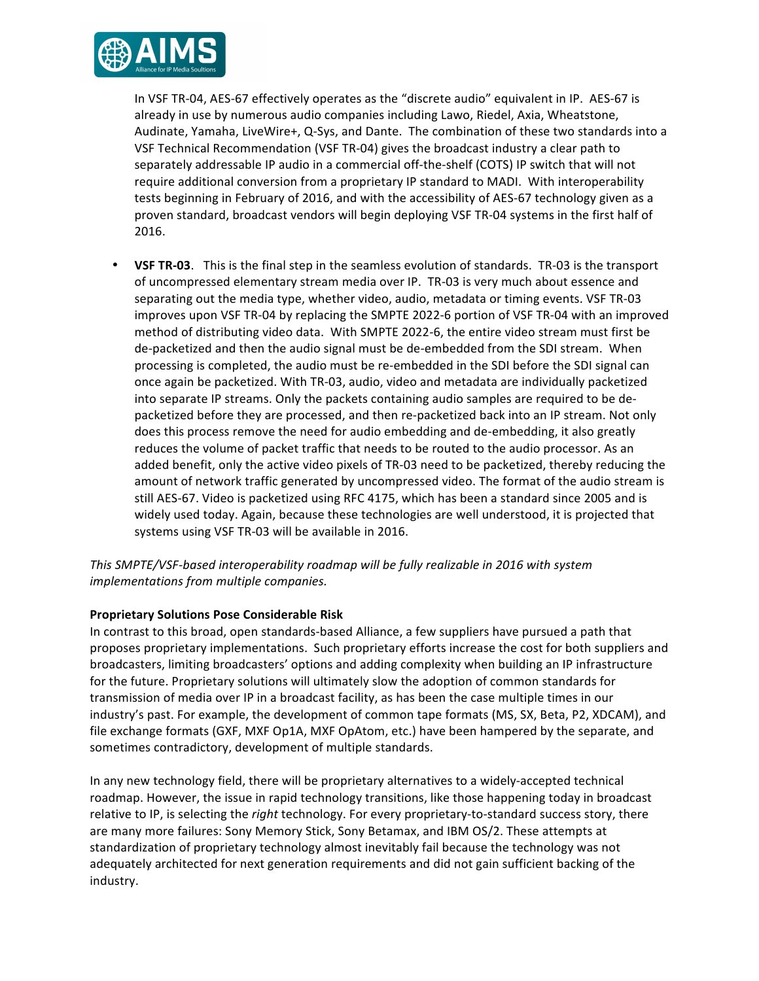

In VSF TR-04, AES-67 effectively operates as the "discrete audio" equivalent in IP. AES-67 is already in use by numerous audio companies including Lawo, Riedel, Axia, Wheatstone, Audinate, Yamaha, LiveWire+, Q-Sys, and Dante. The combination of these two standards into a VSF Technical Recommendation (VSF TR-04) gives the broadcast industry a clear path to separately addressable IP audio in a commercial off-the-shelf (COTS) IP switch that will not require additional conversion from a proprietary IP standard to MADI. With interoperability tests beginning in February of 2016, and with the accessibility of AES-67 technology given as a proven standard, broadcast vendors will begin deploying VSF TR-04 systems in the first half of 2016.

**VSF TR-03**. This is the final step in the seamless evolution of standards. TR-03 is the transport of uncompressed elementary stream media over IP. TR-03 is very much about essence and separating out the media type, whether video, audio, metadata or timing events. VSF TR-03 improves upon VSF TR-04 by replacing the SMPTE 2022-6 portion of VSF TR-04 with an improved method of distributing video data. With SMPTE 2022-6, the entire video stream must first be de-packetized and then the audio signal must be de-embedded from the SDI stream. When processing is completed, the audio must be re-embedded in the SDI before the SDI signal can once again be packetized. With TR-03, audio, video and metadata are individually packetized into separate IP streams. Only the packets containing audio samples are required to be depacketized before they are processed, and then re-packetized back into an IP stream. Not only does this process remove the need for audio embedding and de-embedding, it also greatly reduces the volume of packet traffic that needs to be routed to the audio processor. As an added benefit, only the active video pixels of TR-03 need to be packetized, thereby reducing the amount of network traffic generated by uncompressed video. The format of the audio stream is still AES-67. Video is packetized using RFC 4175, which has been a standard since 2005 and is widely used today. Again, because these technologies are well understood, it is projected that systems using VSF TR-03 will be available in 2016.

This SMPTE/VSF-based interoperability roadmap will be fully realizable in 2016 with system *implementations from multiple companies.* 

## **Proprietary Solutions Pose Considerable Risk**

In contrast to this broad, open standards-based Alliance, a few suppliers have pursued a path that proposes proprietary implementations. Such proprietary efforts increase the cost for both suppliers and broadcasters, limiting broadcasters' options and adding complexity when building an IP infrastructure for the future. Proprietary solutions will ultimately slow the adoption of common standards for transmission of media over IP in a broadcast facility, as has been the case multiple times in our industry's past. For example, the development of common tape formats (MS, SX, Beta, P2, XDCAM), and file exchange formats (GXF, MXF Op1A, MXF OpAtom, etc.) have been hampered by the separate, and sometimes contradictory, development of multiple standards.

In any new technology field, there will be proprietary alternatives to a widely-accepted technical roadmap. However, the issue in rapid technology transitions, like those happening today in broadcast relative to IP, is selecting the *right* technology. For every proprietary-to-standard success story, there are many more failures: Sony Memory Stick, Sony Betamax, and IBM OS/2. These attempts at standardization of proprietary technology almost inevitably fail because the technology was not adequately architected for next generation requirements and did not gain sufficient backing of the industry.